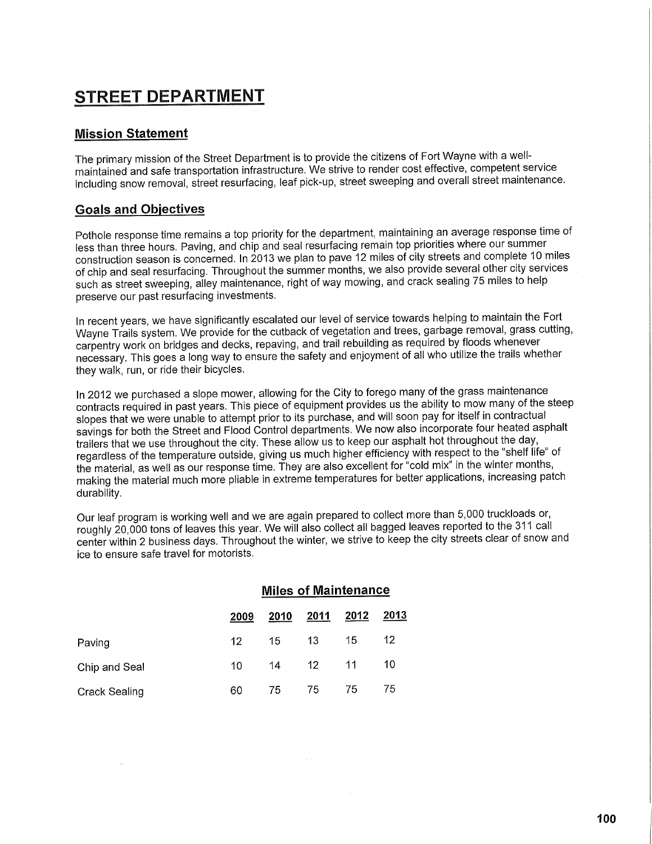## **STREET DEPARTMENT**

## **Mission Statement**

The primary mission of the Street Department is to provide the citizens of Fort Wayne with a wellmaintained and safe transportation infrastructure. We strive to render cost effective, competent service including snow removal, street resurfacing, leaf pick-up, street sweeping and overall street maintenance.

## **Goals and Objectives**

Pothole response time remains a top priority for the department, maintaining an average response time of less than three hours. Paving, and chip and seal resurfacing remain top priorities where our summer construction season is concerned. In 2013 we plan to pave 12 miles of city streets and complete 10 miles of chip and seal resurfacing. Throughout the summer months, we also provide several other city services such as street sweeping, alley maintenance, right of way mowing, and crack sealing 75 miles to help preserve our past resurfacing investments.

In recent years, we have significantly escalated our level of service towards helping to maintain the Fort Wayne Trails system. We provide for the cutback of vegetation and trees, garbage removal, grass cutting, carpentry work on bridges and decks, repaving, and trail rebuilding as required by floods whenever necessary. This goes a long way to ensure the safety and enjoyment of all who utilize the trails whether they walk, run, or ride their bicycles.

In 2012 we purchased a slope mower, allowing for the City to forego many of the grass maintenance contracts required in past years. This piece of equipment provides us the ability to mow many of the steep slopes that we were unable to attempt prior to its purchase, and will soon pay for itself in contractual savings for both the Street and Flood Control departments. We now also incorporate four heated asphalt trailers that we use throughout the city. These allow us to keep our asphalt hot throughout the day, regardless of the temperature outside, giving us much higher efficiency with respect to the "shelf life" of the material, as well as our response time. They are also excellent for "cold mix" in the winter months, making the material much more pliable in extreme temperatures for better applications, increasing patch durability.

Our leaf program is working well and we are again prepared to collect more than 5,000 truckloads or, roughly 20,000 tons of leaves this year. We will also collect all bagged leaves reported to the 311 call center within 2 business days. Throughout the winter, we strive to keep the city streets clear of snow and ice to ensure safe travel for motorists.

|                      | <b>Miles of Maintenance</b> |      |                  |      |      |  |
|----------------------|-----------------------------|------|------------------|------|------|--|
|                      | 2009                        | 2010 | 2011             | 2012 | 2013 |  |
| Paving               | 12                          | 15   | 13               | 15   | 12   |  |
| Chip and Seal        | 10                          | 14   | 12 <sup>12</sup> | 11   | 10   |  |
| <b>Crack Sealing</b> | 60                          | 75   | 75               | 75   | 75   |  |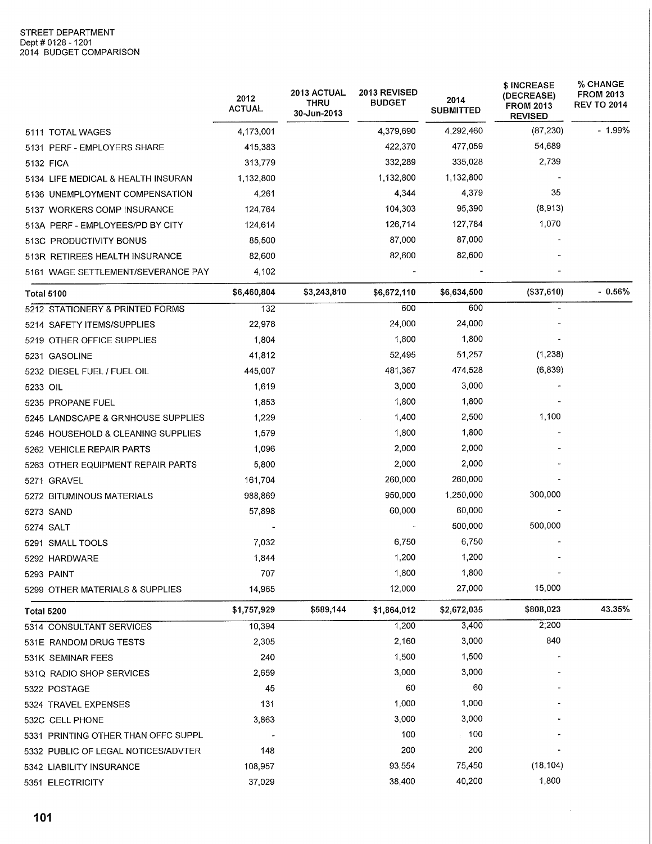|                                     | 2012<br><b>ACTUAL</b> | 2013 ACTUAL<br>THRU<br>30-Jun-2013 | 2013 REVISED<br><b>BUDGET</b> | 2014<br><b>SUBMITTED</b> | \$ INCREASE<br>(DECREASE)<br><b>FROM 2013</b><br><b>REVISED</b> | <b>% CHANGE</b><br><b>FROM 2013</b><br><b>REV TO 2014</b> |
|-------------------------------------|-----------------------|------------------------------------|-------------------------------|--------------------------|-----------------------------------------------------------------|-----------------------------------------------------------|
| 5111 TOTAL WAGES                    | 4,173,001             |                                    | 4,379,690                     | 4,292,460                | (87, 230)                                                       | $-1.99%$                                                  |
| 5131 PERF - EMPLOYERS SHARE         | 415,383               |                                    | 422,370                       | 477,059                  | 54,689                                                          |                                                           |
| 5132 FICA                           | 313,779               |                                    | 332,289                       | 335,028                  | 2,739                                                           |                                                           |
| 5134 LIFE MEDICAL & HEALTH INSURAN  | 1,132,800             |                                    | 1,132,800                     | 1,132,800                |                                                                 |                                                           |
| 5136 UNEMPLOYMENT COMPENSATION      | 4,261                 |                                    | 4,344                         | 4,379                    | 35                                                              |                                                           |
| 5137 WORKERS COMP INSURANCE         | 124,764               |                                    | 104,303                       | 95,390                   | (8, 913)                                                        |                                                           |
| 513A PERF - EMPLOYEES/PD BY CITY    | 124,614               |                                    | 126,714                       | 127,784                  | 1,070                                                           |                                                           |
| 513C PRODUCTIVITY BONUS             | 85,500                |                                    | 87,000                        | 87,000                   |                                                                 |                                                           |
| 513R RETIREES HEALTH INSURANCE      | 82,600                |                                    | 82,600                        | 82,600                   |                                                                 |                                                           |
| 5161 WAGE SETTLEMENT/SEVERANCE PAY  | 4,102                 |                                    |                               |                          |                                                                 |                                                           |
| <b>Total 5100</b>                   | \$6,460,804           | \$3,243,810                        | \$6,672,110                   | \$6,634,500              | (\$37,610)                                                      | $-0.56%$                                                  |
| 5212 STATIONERY & PRINTED FORMS     | 132                   |                                    | 600                           | 600                      |                                                                 |                                                           |
| 5214 SAFETY ITEMS/SUPPLIES          | 22,978                |                                    | 24,000                        | 24,000                   |                                                                 |                                                           |
| 5219 OTHER OFFICE SUPPLIES          | 1,804                 |                                    | 1,800                         | 1,800                    |                                                                 |                                                           |
| 5231 GASOLINE                       | 41,812                |                                    | 52,495                        | 51,257                   | (1,238)                                                         |                                                           |
| 5232 DIESEL FUEL / FUEL OIL         | 445,007               |                                    | 481,367                       | 474,528                  | (6, 839)                                                        |                                                           |
| 5233 OIL                            | 1,619                 |                                    | 3,000                         | 3,000                    |                                                                 |                                                           |
| 5235 PROPANE FUEL                   | 1,853                 |                                    | 1,800                         | 1,800                    |                                                                 |                                                           |
| 5245 LANDSCAPE & GRNHOUSE SUPPLIES  | 1,229                 |                                    | 1,400                         | 2,500                    | 1,100                                                           |                                                           |
| 5246 HOUSEHOLD & CLEANING SUPPLIES  | 1,579                 |                                    | 1,800                         | 1,800                    |                                                                 |                                                           |
| 5262 VEHICLE REPAIR PARTS           | 1,096                 |                                    | 2,000                         | 2,000                    |                                                                 |                                                           |
| 5263 OTHER EQUIPMENT REPAIR PARTS   | 5,800                 |                                    | 2,000                         | 2,000                    |                                                                 |                                                           |
| 5271 GRAVEL                         | 161,704               |                                    | 260,000                       | 260,000                  |                                                                 |                                                           |
| 5272 BITUMINOUS MATERIALS           | 988,869               |                                    | 950,000                       | 1,250,000                | 300,000                                                         |                                                           |
| 5273 SAND                           | 57,898                |                                    | 60,000                        | 60,000                   |                                                                 |                                                           |
| 5274 SALT                           |                       |                                    |                               | 500,000                  | 500,000                                                         |                                                           |
| 5291 SMALL TOOLS                    | 7,032                 |                                    | 6,750                         | 6,750                    |                                                                 |                                                           |
| 5292 HARDWARE                       | 1,844                 |                                    | 1,200                         | 1,200                    |                                                                 |                                                           |
| 5293 PAINT                          | 707                   |                                    | 1,800                         | 1,800                    |                                                                 |                                                           |
| 5299 OTHER MATERIALS & SUPPLIES     | 14,965                |                                    | 12,000                        | 27,000                   | 15,000                                                          |                                                           |
| <b>Total 5200</b>                   | \$1,757,929           | \$589,144                          | \$1,864,012                   | \$2,672,035              | \$808,023                                                       | 43.35%                                                    |
| 5314 CONSULTANT SERVICES            | 10,394                |                                    | 1,200                         | 3,400                    | 2;200                                                           |                                                           |
| 531E RANDOM DRUG TESTS              | 2,305                 |                                    | 2,160                         | 3,000                    | 840                                                             |                                                           |
| 531K SEMINAR FEES                   | 240                   |                                    | 1,500                         | 1,500                    |                                                                 |                                                           |
| 531Q RADIO SHOP SERVICES            | 2,659                 |                                    | 3,000                         | 3,000                    |                                                                 |                                                           |
| 5322 POSTAGE                        | 45                    |                                    | 60                            | 60                       |                                                                 |                                                           |
| 5324 TRAVEL EXPENSES                | 131                   |                                    | 1,000                         | 1,000                    |                                                                 |                                                           |
| 532C CELL PHONE                     | 3,863                 |                                    | 3,000                         | 3,000                    |                                                                 |                                                           |
| 5331 PRINTING OTHER THAN OFFC SUPPL |                       |                                    | 100                           | 100                      |                                                                 |                                                           |
| 5332 PUBLIC OF LEGAL NOTICES/ADVTER | 148                   |                                    | 200                           | 200                      |                                                                 |                                                           |
| 5342 LIABILITY INSURANCE            | 108,957               |                                    | 93,554                        | 75,450                   | (18, 104)                                                       |                                                           |
| 5351 ELECTRICITY                    | 37,029                |                                    | 38,400                        | 40,200                   | 1,800                                                           |                                                           |

 $\sim$